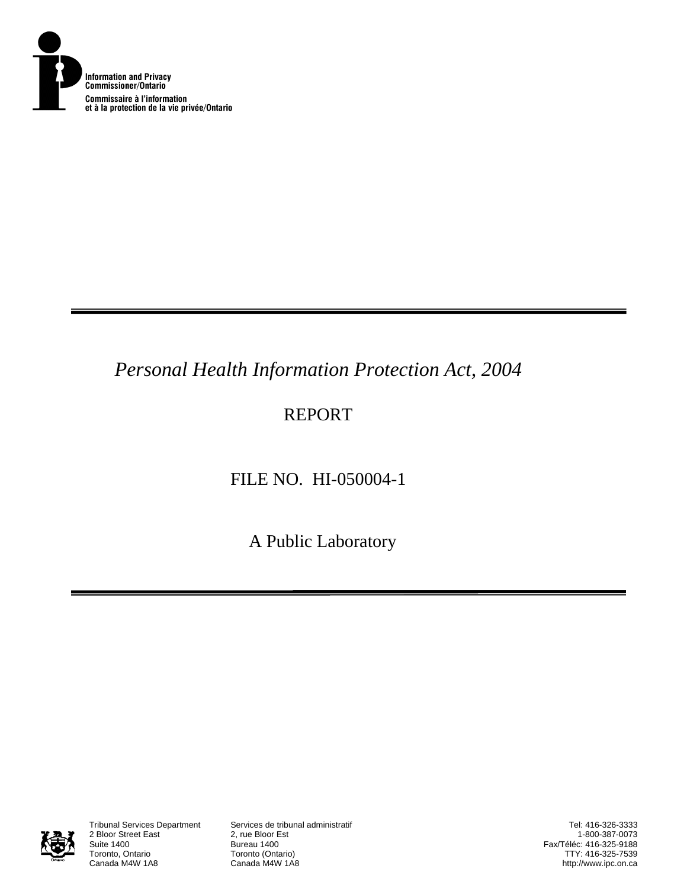

## *Personal Health Information Protection Act, 2004*

## REPORT

# FILE NO. HI-050004-1

A Public Laboratory



2 Bloor Street East<br>Suite 1400 Suite 1400<br>Toronto, Ontario **Bureau 1400**<br>Toronto (Onta Toronto, Ontario **Toronto (Ontario)**<br>Canada M4W 1A8 **Canada M4W 1A8** 

Tribunal Services Department Services de tribunal administratif

Tel: 416-326-3333 1-800-387-0073 Fax/Téléc: 416-325-9188 TTY: 416-325-7539 http://www.ipc.on.ca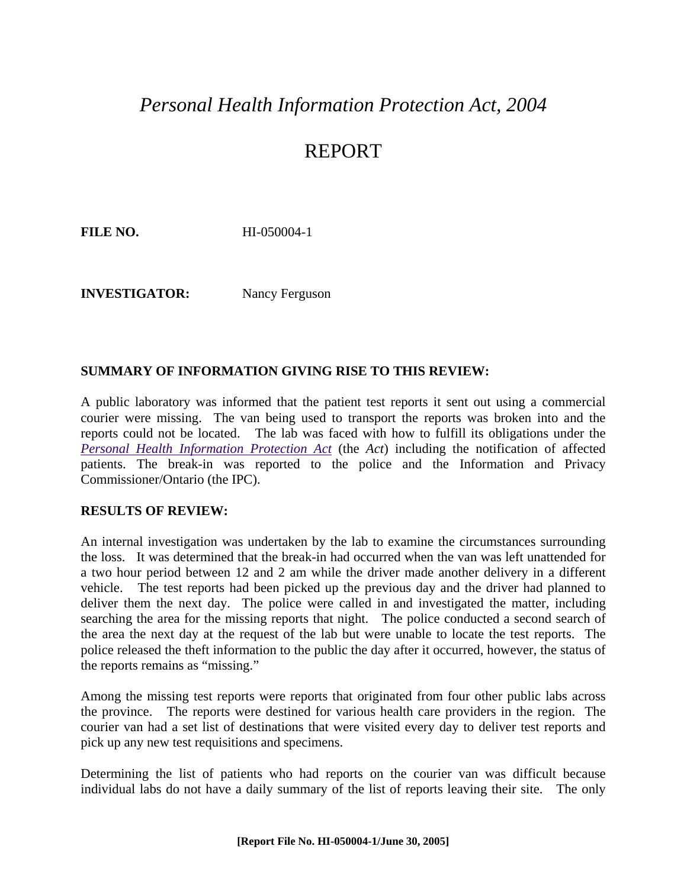### *Personal Health Information Protection Act, 2004*

### REPORT

**FILE NO. HI-050004-1** 

**INVESTIGATOR:** Nancy Ferguson

#### **SUMMARY OF INFORMATION GIVING RISE TO THIS REVIEW:**

A public laboratory was informed that the patient test reports it sent out using a commercial courier were missing. The van being used to transport the reports was broken into and the reports could not be located. The lab was faced with how to fulfill its obligations under the *[Personal Health Information Protection Act](http://www.e-laws.gov.on.ca/DBLaws/Statutes/English/04p03_e.htm)* (the *Act*) including the notification of affected patients. The break-in was reported to the police and the Information and Privacy Commissioner/Ontario (the IPC).

#### **RESULTS OF REVIEW:**

An internal investigation was undertaken by the lab to examine the circumstances surrounding the loss. It was determined that the break-in had occurred when the van was left unattended for a two hour period between 12 and 2 am while the driver made another delivery in a different vehicle. The test reports had been picked up the previous day and the driver had planned to deliver them the next day. The police were called in and investigated the matter, including searching the area for the missing reports that night. The police conducted a second search of the area the next day at the request of the lab but were unable to locate the test reports. The police released the theft information to the public the day after it occurred, however, the status of the reports remains as "missing."

Among the missing test reports were reports that originated from four other public labs across the province. The reports were destined for various health care providers in the region. The courier van had a set list of destinations that were visited every day to deliver test reports and pick up any new test requisitions and specimens.

Determining the list of patients who had reports on the courier van was difficult because individual labs do not have a daily summary of the list of reports leaving their site. The only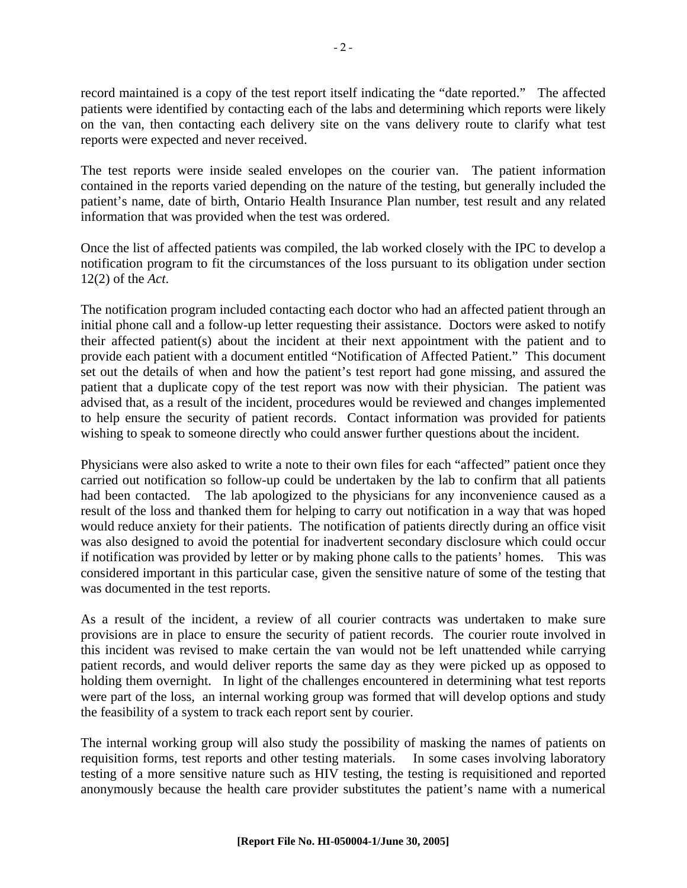record maintained is a copy of the test report itself indicating the "date reported." The affected patients were identified by contacting each of the labs and determining which reports were likely on the van, then contacting each delivery site on the vans delivery route to clarify what test reports were expected and never received.

The test reports were inside sealed envelopes on the courier van. The patient information contained in the reports varied depending on the nature of the testing, but generally included the patient's name, date of birth, Ontario Health Insurance Plan number, test result and any related information that was provided when the test was ordered.

Once the list of affected patients was compiled, the lab worked closely with the IPC to develop a notification program to fit the circumstances of the loss pursuant to its obligation under section 12(2) of the *Act*.

The notification program included contacting each doctor who had an affected patient through an initial phone call and a follow-up letter requesting their assistance. Doctors were asked to notify their affected patient(s) about the incident at their next appointment with the patient and to provide each patient with a document entitled "Notification of Affected Patient." This document set out the details of when and how the patient's test report had gone missing, and assured the patient that a duplicate copy of the test report was now with their physician. The patient was advised that, as a result of the incident, procedures would be reviewed and changes implemented to help ensure the security of patient records. Contact information was provided for patients wishing to speak to someone directly who could answer further questions about the incident.

Physicians were also asked to write a note to their own files for each "affected" patient once they carried out notification so follow-up could be undertaken by the lab to confirm that all patients had been contacted. The lab apologized to the physicians for any inconvenience caused as a result of the loss and thanked them for helping to carry out notification in a way that was hoped would reduce anxiety for their patients. The notification of patients directly during an office visit was also designed to avoid the potential for inadvertent secondary disclosure which could occur if notification was provided by letter or by making phone calls to the patients' homes. This was considered important in this particular case, given the sensitive nature of some of the testing that was documented in the test reports.

As a result of the incident, a review of all courier contracts was undertaken to make sure provisions are in place to ensure the security of patient records. The courier route involved in this incident was revised to make certain the van would not be left unattended while carrying patient records, and would deliver reports the same day as they were picked up as opposed to holding them overnight. In light of the challenges encountered in determining what test reports were part of the loss, an internal working group was formed that will develop options and study the feasibility of a system to track each report sent by courier.

The internal working group will also study the possibility of masking the names of patients on requisition forms, test reports and other testing materials. In some cases involving laboratory testing of a more sensitive nature such as HIV testing, the testing is requisitioned and reported anonymously because the health care provider substitutes the patient's name with a numerical